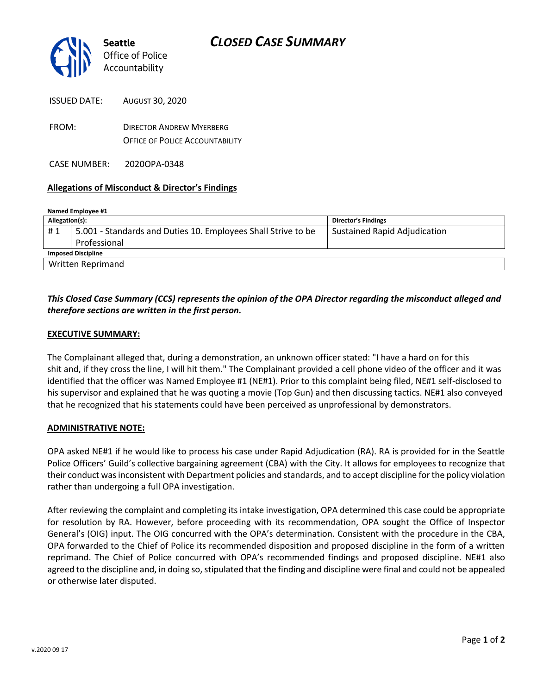

| ISSUED DATE: | <b>AUGUST 30, 2020</b>                                                    |
|--------------|---------------------------------------------------------------------------|
| FROM:        | <b>DIRECTOR ANDREW MYERBERG</b><br><b>OFFICE OF POLICE ACCOUNTABILITY</b> |
|              |                                                                           |

CASE NUMBER: 2020OPA-0348

## **Allegations of Misconduct & Director's Findings**

| Named Employee #1         |                                                               |                                     |  |
|---------------------------|---------------------------------------------------------------|-------------------------------------|--|
| Allegation(s):            |                                                               | <b>Director's Findings</b>          |  |
| #1                        | 5.001 - Standards and Duties 10. Employees Shall Strive to be | <b>Sustained Rapid Adjudication</b> |  |
|                           | Professional                                                  |                                     |  |
| <b>Imposed Discipline</b> |                                                               |                                     |  |
|                           | <b>Written Reprimand</b>                                      |                                     |  |

# *This Closed Case Summary (CCS) represents the opinion of the OPA Director regarding the misconduct alleged and therefore sections are written in the first person.*

## **EXECUTIVE SUMMARY:**

The Complainant alleged that, during a demonstration, an unknown officer stated: "I have a hard on for this shit and, if they cross the line, I will hit them." The Complainant provided a cell phone video of the officer and it was identified that the officer was Named Employee #1 (NE#1). Prior to this complaint being filed, NE#1 self-disclosed to his supervisor and explained that he was quoting a movie (Top Gun) and then discussing tactics. NE#1 also conveyed that he recognized that his statements could have been perceived as unprofessional by demonstrators.

#### **ADMINISTRATIVE NOTE:**

OPA asked NE#1 if he would like to process his case under Rapid Adjudication (RA). RA is provided for in the Seattle Police Officers' Guild's collective bargaining agreement (CBA) with the City. It allows for employees to recognize that their conduct was inconsistent with Department policies and standards, and to accept discipline for the policy violation rather than undergoing a full OPA investigation.

After reviewing the complaint and completing its intake investigation, OPA determined this case could be appropriate for resolution by RA. However, before proceeding with its recommendation, OPA sought the Office of Inspector General's (OIG) input. The OIG concurred with the OPA's determination. Consistent with the procedure in the CBA, OPA forwarded to the Chief of Police its recommended disposition and proposed discipline in the form of a written reprimand. The Chief of Police concurred with OPA's recommended findings and proposed discipline. NE#1 also agreed to the discipline and, in doing so, stipulated that the finding and discipline were final and could not be appealed or otherwise later disputed.